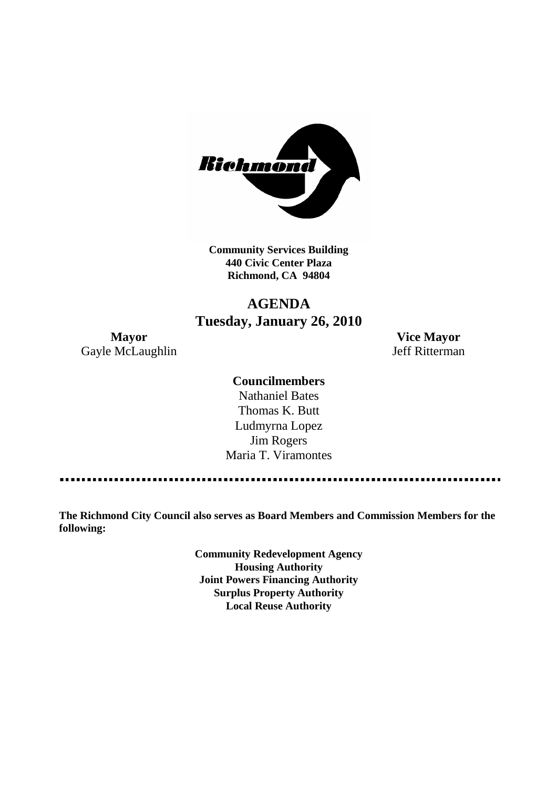

**Community Services Building 440 Civic Center Plaza Richmond, CA 94804**

# **AGENDA Tuesday, January 26, 2010**

Gayle McLaughlin Jeff Ritterman

**Mayor Vice Mayor**

## **Councilmembers**

Nathaniel Bates Thomas K. Butt Ludmyrna Lopez Jim Rogers Maria T. Viramontes

**The Richmond City Council also serves as Board Members and Commission Members for the following:**

> **Community Redevelopment Agency Housing Authority Joint Powers Financing Authority Surplus Property Authority Local Reuse Authority**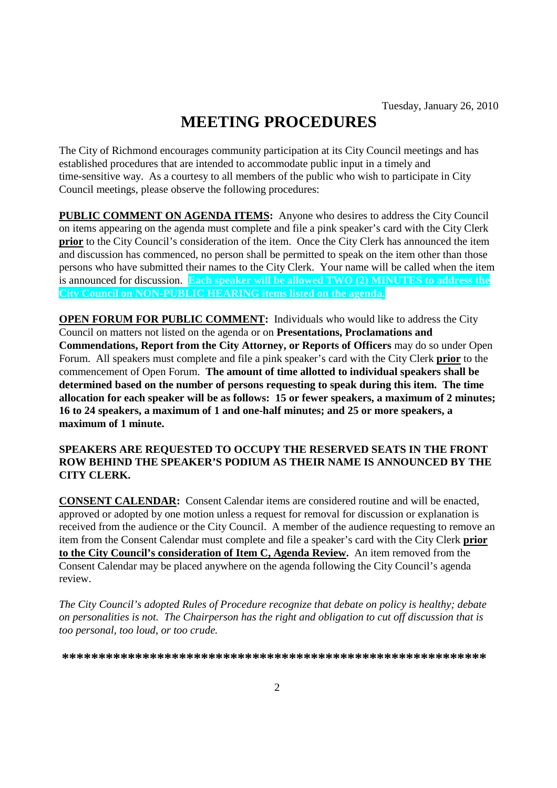# **MEETING PROCEDURES**

The City of Richmond encourages community participation at its City Council meetings and has established procedures that are intended to accommodate public input in a timely and time-sensitive way. As a courtesy to all members of the public who wish to participate in City Council meetings, please observe the following procedures:

**PUBLIC COMMENT ON AGENDA ITEMS:** Anyone who desires to address the City Council on items appearing on the agenda must complete and file a pink speaker's card with the City Clerk **prior** to the City Council's consideration of the item. Once the City Clerk has announced the item and discussion has commenced, no person shall be permitted to speak on the item other than those persons who have submitted their names to the City Clerk. Your name will be called when the item is announced for discussion. **Each speaker will be allowed TWO (2) MINUTES to address the City Council on NON-PUBLIC HEARING items listed on the agenda.**

**OPEN FORUM FOR PUBLIC COMMENT:** Individuals who would like to address the City Council on matters not listed on the agenda or on **Presentations, Proclamations and Commendations, Report from the City Attorney, or Reports of Officers** may do so under Open Forum. All speakers must complete and file a pink speaker's card with the City Clerk **prior** to the commencement of Open Forum. **The amount of time allotted to individual speakers shall be determined based on the number of persons requesting to speak during this item. The time allocation for each speaker will be as follows: 15 or fewer speakers, a maximum of 2 minutes; 16 to 24 speakers, a maximum of 1 and one-half minutes; and 25 or more speakers, a maximum of 1 minute.**

## **SPEAKERS ARE REQUESTED TO OCCUPY THE RESERVED SEATS IN THE FRONT ROW BEHIND THE SPEAKER'S PODIUM AS THEIR NAME IS ANNOUNCED BY THE CITY CLERK.**

**CONSENT CALENDAR:** Consent Calendar items are considered routine and will be enacted, approved or adopted by one motion unless a request for removal for discussion or explanation is received from the audience or the City Council. A member of the audience requesting to remove an item from the Consent Calendar must complete and file a speaker's card with the City Clerk **prior to the City Council's consideration of Item C, Agenda Review.** An item removed from the Consent Calendar may be placed anywhere on the agenda following the City Council's agenda review.

*The City Council's adopted Rules of Procedure recognize that debate on policy is healthy; debate on personalities is not. The Chairperson has the right and obligation to cut off discussion that is too personal, too loud, or too crude.*

**\*\*\*\*\*\*\*\*\*\*\*\*\*\*\*\*\*\*\*\*\*\*\*\*\*\*\*\*\*\*\*\*\*\*\*\*\*\*\*\*\*\*\*\*\*\*\*\*\*\*\*\*\*\*\*\*\*\***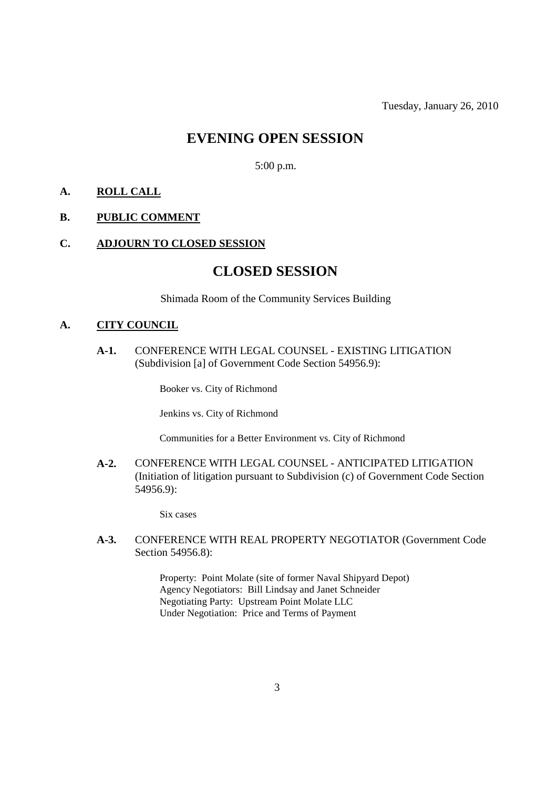Tuesday, January 26, 2010

## **EVENING OPEN SESSION**

5:00 p.m.

## **A. ROLL CALL**

## **B. PUBLIC COMMENT**

#### **C. ADJOURN TO CLOSED SESSION**

## **CLOSED SESSION**

Shimada Room of the Community Services Building

#### **A. CITY COUNCIL**

**A-1.** CONFERENCE WITH LEGAL COUNSEL - EXISTING LITIGATION (Subdivision [a] of Government Code Section 54956.9):

Booker vs. City of Richmond

Jenkins vs. City of Richmond

Communities for a Better Environment vs. City of Richmond

**A-2.** CONFERENCE WITH LEGAL COUNSEL - ANTICIPATED LITIGATION (Initiation of litigation pursuant to Subdivision (c) of Government Code Section 54956.9):

Six cases

**A-3.** CONFERENCE WITH REAL PROPERTY NEGOTIATOR (Government Code Section 54956.8):

> Property: Point Molate (site of former Naval Shipyard Depot) Agency Negotiators: Bill Lindsay and Janet Schneider Negotiating Party: Upstream Point Molate LLC Under Negotiation: Price and Terms of Payment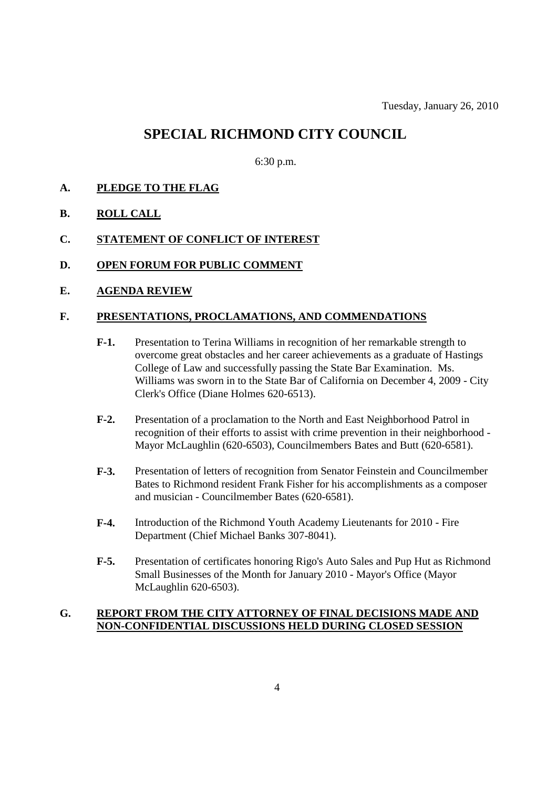## **SPECIAL RICHMOND CITY COUNCIL**

6:30 p.m.

- **A. PLEDGE TO THE FLAG**
- **B. ROLL CALL**
- **C. STATEMENT OF CONFLICT OF INTEREST**
- **D. OPEN FORUM FOR PUBLIC COMMENT**
- **E. AGENDA REVIEW**

## **F. PRESENTATIONS, PROCLAMATIONS, AND COMMENDATIONS**

- **F-1.** Presentation to Terina Williams in recognition of her remarkable strength to overcome great obstacles and her career achievements as a graduate of Hastings College of Law and successfully passing the State Bar Examination. Ms. Williams was sworn in to the State Bar of California on December 4, 2009 - City Clerk's Office (Diane Holmes 620-6513).
- **F-2.** Presentation of a proclamation to the North and East Neighborhood Patrol in recognition of their efforts to assist with crime prevention in their neighborhood - Mayor McLaughlin (620-6503), Councilmembers Bates and Butt (620-6581).
- **F-3.** Presentation of letters of recognition from Senator Feinstein and Councilmember Bates to Richmond resident Frank Fisher for his accomplishments as a composer and musician - Councilmember Bates (620-6581).
- **F-4.** Introduction of the Richmond Youth Academy Lieutenants for 2010 Fire Department (Chief Michael Banks 307-8041).
- **F-5.** Presentation of certificates honoring Rigo's Auto Sales and Pup Hut as Richmond Small Businesses of the Month for January 2010 - Mayor's Office (Mayor McLaughlin 620-6503).

## **G. REPORT FROM THE CITY ATTORNEY OF FINAL DECISIONS MADE AND NON-CONFIDENTIAL DISCUSSIONS HELD DURING CLOSED SESSION**